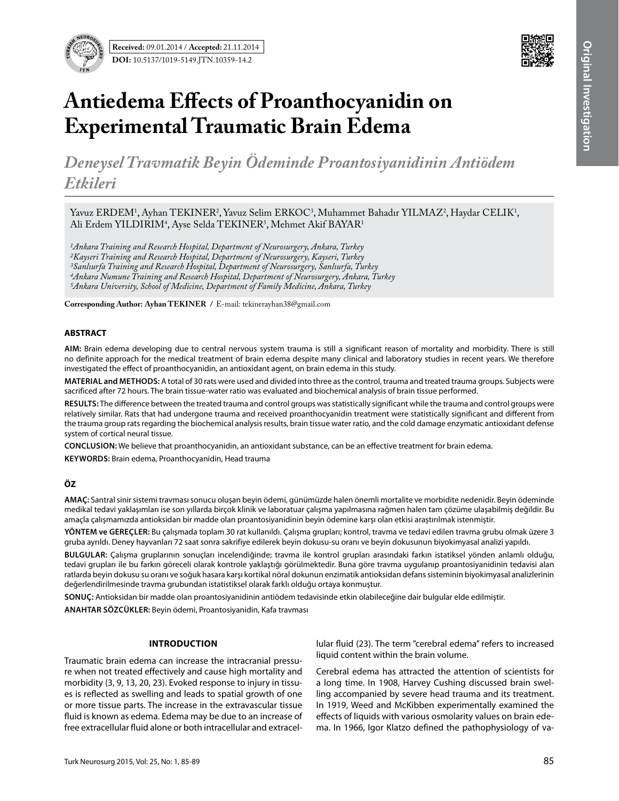

# **Antiedema Effects of Proanthocyanidin on Experimental Traumatic Brain Edema**

*Deneysel Travmatik Beyin Ödeminde Proantosiyanidinin Antiödem Etkileri*

Yavuz ERDEM<sup>1</sup>, Ayhan TEKINER<sup>2</sup>, Yavuz Selim ERKOC<sup>3</sup>, Muhammet Bahadır YILMAZ<sup>2</sup>, Haydar CELIK<sup>1</sup>, Ali Erdem YILDIRIM<sup>4</sup>, Ayse Selda TEKINER<sup>5</sup>, Mehmet Akif BAYAR<sup>1</sup>

*1Ankara Training and Research Hospital, Department of Neurosurgery, Ankara, Turkey 2Kayseri Training and Research Hospital, Department of Neurosurgery, Kayseri, Turkey 3Sanlıurfa Training and Research Hospital, Department of Neurosurgery, Sanlıurfa, Turkey 4Ankara Numune Training and Research Hospital, Department of Neurosurgery, Ankara, Turkey 5Ankara University, School of Medicine, Department of Family Medicine, Ankara, Turkey*

**Corresponding Author: Ayhan Tekıner /** E-mail: tekinerayhan38@gmail.com

#### **ABSTRACT**

**AIm:** Brain edema developing due to central nervous system trauma is still a significant reason of mortality and morbidity. There is still no definite approach for the medical treatment of brain edema despite many clinical and laboratory studies in recent years. We therefore investigated the effect of proanthocyanidin, an antioxidant agent, on brain edema in this study.

**MaterIal and Methods:** A total of 30 rats were used and divided into three as the control, trauma and treated trauma groups. Subjects were sacrificed after 72 hours. The brain tissue-water ratio was evaluated and biochemical analysis of brain tissue performed.

**Results:** The difference between the treated trauma and control groups was statistically significant while the trauma and control groups were relatively similar. Rats that had undergone trauma and received proanthocyanidin treatment were statistically significant and different from the trauma group rats regarding the biochemical analysis results, brain tissue water ratio, and the cold damage enzymatic antioxidant defense system of cortical neural tissue.

**ConclusIon:** We believe that proanthocyanidin, an antioxidant substance, can be an effective treatment for brain edema.

**Keywords:** Brain edema, Proanthocyanidin, Head trauma

### **ÖZ**

**AMAÇ:** Santral sinir sistemi travması sonucu oluşan beyin ödemi, günümüzde halen önemli mortalite ve morbidite nedenidir. Beyin ödeminde medikal tedavi yaklaşımları ise son yıllarda birçok klinik ve laboratuar çalışma yapılmasına rağmen halen tam çözüme ulaşabilmiş değildir. Bu amaçla çalışmamızda antioksidan bir madde olan proantosiyanidinin beyin ödemine karşı olan etkisi araştırılmak istenmiştir.

**YÖNTEM ve GEREÇLER:** Bu çalışmada toplam 30 rat kullanıldı. Çalışma grupları; kontrol, travma ve tedavi edilen travma grubu olmak üzere 3 gruba ayrıldı. Deney hayvanları 72 saat sonra sakrifiye edilerek beyin dokusu-su oranı ve beyin dokusunun biyokimyasal analizi yapıldı.

**BULGULAR:** Çalışma gruplarının sonuçları incelendiğinde; travma ile kontrol grupları arasındaki farkın istatiksel yönden anlamlı olduğu, tedavi grupları ile bu farkın göreceli olarak kontrole yaklaştığı görülmektedir. Buna göre travma uygulanıp proantosiyanidinin tedavisi alan ratlarda beyin dokusu su oranı ve soğuk hasara karşı kortikal nöral dokunun enzimatik antioksidan defans sisteminin biyokimyasal analizlerinin değerlendirilmesinde travma grubundan istatistiksel olarak farklı olduğu ortaya konmuştur.

**SONUÇ:** Antioksidan bir madde olan proantosiyanidinin antiödem tedavisinde etkin olabileceğine dair bulgular elde edilmiştir.

**ANAHTAR SÖZCÜKLER:** Beyin ödemi, Proantosiyanidin, Kafa travması

#### **Introductıon**

Traumatic brain edema can increase the intracranial pressure when not treated effectively and cause high mortality and morbidity (3, 9, 13, 20, 23). Evoked response to injury in tissues is reflected as swelling and leads to spatial growth of one or more tissue parts. The increase in the extravascular tissue fluid is known as edema. Edema may be due to an increase of free extracellular fluid alone or both intracellular and extracellular fluid (23). The term "cerebral edema" refers to increased liquid content within the brain volume.

Cerebral edema has attracted the attention of scientists for a long time. In 1908, Harvey Cushing discussed brain swelling accompanied by severe head trauma and its treatment. In 1919, Weed and McKibben experimentally examined the effects of liquids with various osmolarity values on brain edema. In 1966, Igor Klatzo defined the pathophysiology of va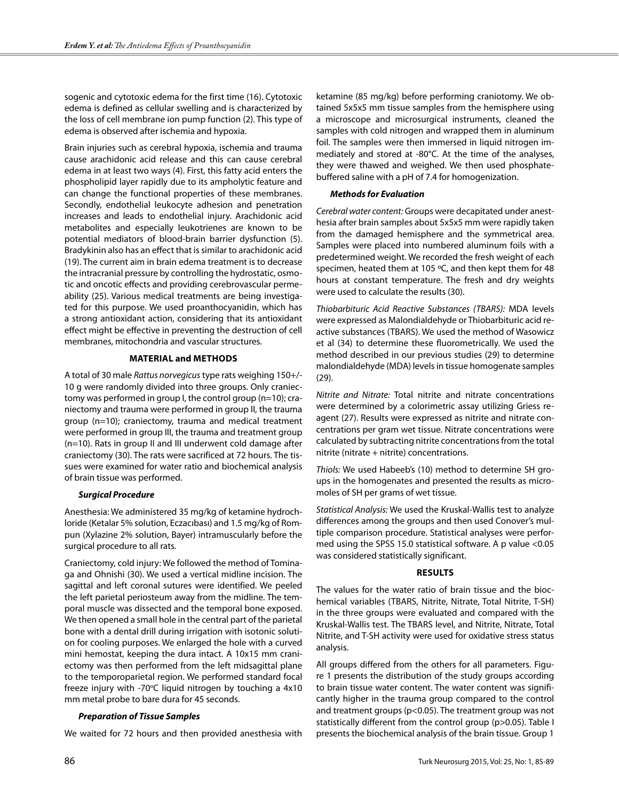sogenic and cytotoxic edema for the first time (16). Cytotoxic edema is defined as cellular swelling and is characterized by the loss of cell membrane ion pump function (2). This type of edema is observed after ischemia and hypoxia.

Brain injuries such as cerebral hypoxia, ischemia and trauma cause arachidonic acid release and this can cause cerebral edema in at least two ways (4). First, this fatty acid enters the phospholipid layer rapidly due to its ampholytic feature and can change the functional properties of these membranes. Secondly, endothelial leukocyte adhesion and penetration increases and leads to endothelial injury. Arachidonic acid metabolites and especially leukotrienes are known to be potential mediators of blood-brain barrier dysfunction (5). Bradykinin also has an effect that is similar to arachidonic acid (19). The current aim in brain edema treatment is to decrease the intracranial pressure by controlling the hydrostatic, osmotic and oncotic effects and providing cerebrovascular permeability (25). Various medical treatments are being investigated for this purpose. We used proanthocyanidin, which has a strong antioxidant action, considering that its antioxidant effect might be effective in preventing the destruction of cell membranes, mitochondria and vascular structures.

# **Materıal and Methods**

A total of 30 male *Rattus norvegicus* type rats weighing 150+/- 10 g were randomly divided into three groups. Only craniectomy was performed in group I, the control group (n=10); craniectomy and trauma were performed in group II, the trauma group (n=10); craniectomy, trauma and medical treatment were performed in group III, the trauma and treatment group (n=10). Rats in group II and III underwent cold damage after craniectomy (30). The rats were sacrificed at 72 hours. The tissues were examined for water ratio and biochemical analysis of brain tissue was performed.

### *Surgical Procedure*

Anesthesia: We administered 35 mg/kg of ketamine hydrochloride (Ketalar 5% solution, Eczacıbası) and 1.5 mg/kg of Rompun (Xylazine 2% solution, Bayer) intramuscularly before the surgical procedure to all rats.

Craniectomy, cold injury: We followed the method of Tominaga and Ohnishi (30). We used a vertical midline incision. The sagittal and left coronal sutures were identified. We peeled the left parietal periosteum away from the midline. The temporal muscle was dissected and the temporal bone exposed. We then opened a small hole in the central part of the parietal bone with a dental drill during irrigation with isotonic solution for cooling purposes. We enlarged the hole with a curved mini hemostat, keeping the dura intact. A 10x15 mm craniectomy was then performed from the left midsagittal plane to the temporoparietal region. We performed standard focal freeze injury with -70°C liquid nitrogen by touching a 4x10 mm metal probe to bare dura for 45 seconds.

### *Preparation of Tissue Samples*

We waited for 72 hours and then provided anesthesia with

ketamine (85 mg/kg) before performing craniotomy. We obtained 5x5x5 mm tissue samples from the hemisphere using a microscope and microsurgical instruments, cleaned the samples with cold nitrogen and wrapped them in aluminum foil. The samples were then immersed in liquid nitrogen immediately and stored at -80°C. At the time of the analyses, they were thawed and weighed. We then used phosphatebuffered saline with a pH of 7.4 for homogenization.

# *Methods for Evaluation*

*Cerebral water content:* Groups were decapitated under anesthesia after brain samples about 5x5x5 mm were rapidly taken from the damaged hemisphere and the symmetrical area. Samples were placed into numbered aluminum foils with a predetermined weight. We recorded the fresh weight of each specimen, heated them at 105 ºC, and then kept them for 48 hours at constant temperature. The fresh and dry weights were used to calculate the results (30).

*Thiobarbituric Acid Reactive Substances (TBARS):* MDA levels were expressed as Malondialdehyde or Thiobarbituric acid reactive substances (TBARS). We used the method of Wasowicz et al (34) to determine these fluorometrically. We used the method described in our previous studies (29) to determine malondialdehyde (MDA) levels in tissue homogenate samples (29).

*Nitrite and Nitrate:* Total nitrite and nitrate concentrations were determined by a colorimetric assay utilizing Griess reagent (27). Results were expressed as nitrite and nitrate concentrations per gram wet tissue. Nitrate concentrations were calculated by subtracting nitrite concentrations from the total nitrite (nitrate + nitrite) concentrations.

*Thiols:* We used Habeeb's (10) method to determine SH groups in the homogenates and presented the results as micromoles of SH per grams of wet tissue.

*Statistical Analysis:* We used the Kruskal-Wallis test to analyze differences among the groups and then used Conover's multiple comparison procedure. Statistical analyses were performed using the SPSS 15.0 statistical software. A p value <0.05 was considered statistically significant.

### **Results**

The values for the water ratio of brain tissue and the biochemical variables (TBARS, Nitrite, Nitrate, Total Nitrite, T-SH) in the three groups were evaluated and compared with the Kruskal-Wallis test. The TBARS level, and Nitrite, Nitrate, Total Nitrite, and T-SH activity were used for oxidative stress status analysis.

All groups differed from the others for all parameters. Figure 1 presents the distribution of the study groups according to brain tissue water content. The water content was significantly higher in the trauma group compared to the control and treatment groups (p<0.05). The treatment group was not statistically different from the control group (p>0.05). Table I presents the biochemical analysis of the brain tissue. Group 1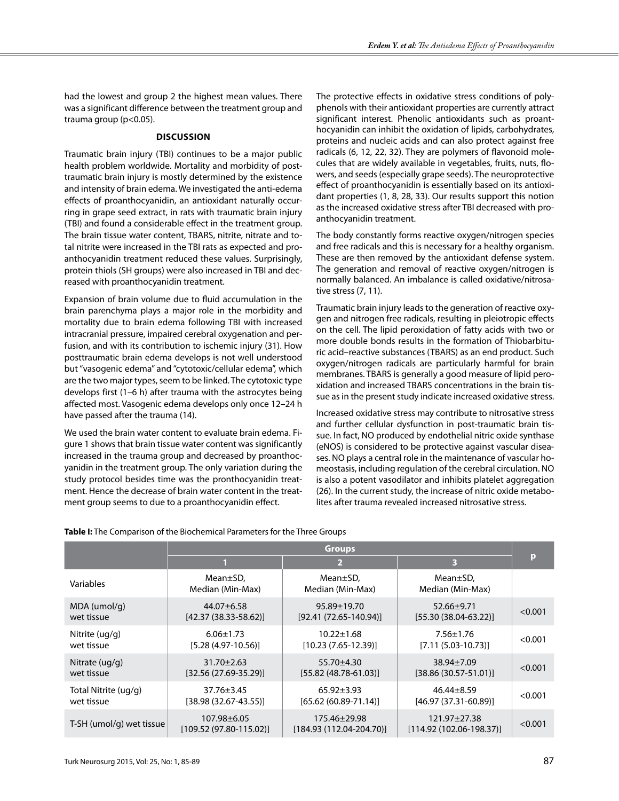had the lowest and group 2 the highest mean values. There was a significant difference between the treatment group and trauma group (p<0.05).

## **DIscussıon**

Traumatic brain injury (TBI) continues to be a major public health problem worldwide. Mortality and morbidity of posttraumatic brain injury is mostly determined by the existence and intensity of brain edema. We investigated the anti-edema effects of proanthocyanidin, an antioxidant naturally occurring in grape seed extract, in rats with traumatic brain injury (TBI) and found a considerable effect in the treatment group. The brain tissue water content, TBARS, nitrite, nitrate and total nitrite were increased in the TBI rats as expected and proanthocyanidin treatment reduced these values. Surprisingly, protein thiols (SH groups) were also increased in TBI and decreased with proanthocyanidin treatment.

Expansion of brain volume due to fluid accumulation in the brain parenchyma plays a major role in the morbidity and mortality due to brain edema following TBI with increased intracranial pressure, impaired cerebral oxygenation and perfusion, and with its contribution to ischemic injury (31). How posttraumatic brain edema develops is not well understood but "vasogenic edema" and "cytotoxic/cellular edema", which are the two major types, seem to be linked. The cytotoxic type develops first (1–6 h) after trauma with the astrocytes being affected most. Vasogenic edema develops only once 12–24 h have passed after the trauma (14).

We used the brain water content to evaluate brain edema. Figure 1 shows that brain tissue water content was significantly increased in the trauma group and decreased by proanthocyanidin in the treatment group. The only variation during the study protocol besides time was the pronthocyanidin treatment. Hence the decrease of brain water content in the treatment group seems to due to a proanthocyanidin effect.

The protective effects in oxidative stress conditions of polyphenols with their antioxidant properties are currently attract significant interest. Phenolic antioxidants such as proanthocyanidin can inhibit the oxidation of lipids, carbohydrates, proteins and nucleic acids and can also protect against free radicals (6, 12, 22, 32). They are polymers of flavonoid molecules that are widely available in vegetables, fruits, nuts, flowers, and seeds (especially grape seeds). The neuroprotective effect of proanthocyanidin is essentially based on its antioxidant properties (1, 8, 28, 33). Our results support this notion as the increased oxidative stress after TBI decreased with proanthocyanidin treatment.

The body constantly forms reactive oxygen/nitrogen species and free radicals and this is necessary for a healthy organism. These are then removed by the antioxidant defense system. The generation and removal of reactive oxygen/nitrogen is normally balanced. An imbalance is called oxidative/nitrosative stress (7, 11).

Traumatic brain injury leads to the generation of reactive oxygen and nitrogen free radicals, resulting in pleiotropic effects on the cell. The lipid peroxidation of fatty acids with two or more double bonds results in the formation of Thiobarbituric acid–reactive substances (TBARS) as an end product. Such oxygen/nitrogen radicals are particularly harmful for brain membranes. TBARS is generally a good measure of lipid peroxidation and increased TBARS concentrations in the brain tissue as in the present study indicate increased oxidative stress.

Increased oxidative stress may contribute to nitrosative stress and further cellular dysfunction in post-traumatic brain tissue. In fact, NO produced by endothelial nitric oxide synthase (eNOS) is considered to be protective against vascular diseases. NO plays a central role in the maintenance of vascular homeostasis, including regulation of the cerebral circulation. NO is also a potent vasodilator and inhibits platelet aggregation (26). In the current study, the increase of nitric oxide metabolites after trauma revealed increased nitrosative stress.

| Table I: The Comparison of the Biochemical Parameters for the Three Groups |
|----------------------------------------------------------------------------|
|----------------------------------------------------------------------------|

|                          | <b>Groups</b>                                    |                                           |                                                  |         |
|--------------------------|--------------------------------------------------|-------------------------------------------|--------------------------------------------------|---------|
|                          |                                                  | $\overline{2}$                            | 3                                                | р       |
| Variables                | $Mean \pm SD$ ,<br>Median (Min-Max)              | Mean <sub>±</sub> SD,<br>Median (Min-Max) | Mean±SD,<br>Median (Min-Max)                     |         |
| MDA (umol/g)             | $44.07 \pm 6.58$                                 | $95.89 \pm 19.70$                         | $52.66 \pm 9.71$                                 | < 0.001 |
| wet tissue               | $[42.37 (38.33 - 58.62)]$                        | $[92.41 (72.65 - 140.94)]$                | $[55.30 (38.04-63.22)]$                          |         |
| Nitrite (ug/g)           | $6.06 \pm 1.73$                                  | $10.22 \pm 1.68$                          | $7.56 \pm 1.76$                                  | < 0.001 |
| wet tissue               | $[5.28 (4.97 - 10.56)]$                          | $[10.23 (7.65 - 12.39)]$                  | $[7.11 (5.03 - 10.73)]$                          |         |
| Nitrate (ug/g)           | $31.70 \pm 2.63$                                 | $55.70 \pm 4.30$                          | $38.94 \pm 7.09$                                 | < 0.001 |
| wet tissue               | $[32.56 (27.69 - 35.29)]$                        | $[55.82 (48.78 - 61.03)]$                 | $[38.86 (30.57 - 51.01)]$                        |         |
| Total Nitrite (ug/g)     | $37.76 \pm 3.45$                                 | $65.92 \pm 3.93$                          | $46.44 \pm 8.59$                                 | < 0.001 |
| wet tissue               | $[38.98 (32.67 - 43.55)]$                        | $[65.62 (60.89 - 71.14)]$                 | $[46.97 (37.31 - 60.89)]$                        |         |
| T-SH (umol/g) wet tissue | $107.98 \pm 6.05$<br>$[109.52 (97.80 - 115.02)]$ | 175.46±29.98<br>$[184.93(112.04-204.70)]$ | $121.97 \pm 27.38$<br>$[114.92 (102.06-198.37)]$ | < 0.001 |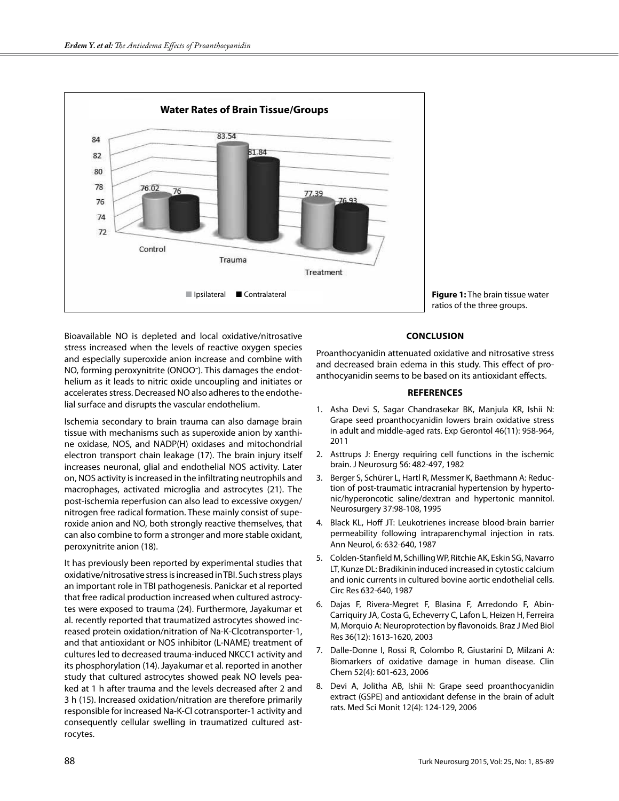

**Figure 1:** The brain tissue water ratios of the three groups.

Bioavailable NO is depleted and local oxidative/nitrosative stress increased when the levels of reactive oxygen species and especially superoxide anion increase and combine with NO, forming peroxynitrite (ONOO-). This damages the endothelium as it leads to nitric oxide uncoupling and initiates or accelerates stress. Decreased NO also adheres to the endothelial surface and disrupts the vascular endothelium.

Ischemia secondary to brain trauma can also damage brain tissue with mechanisms such as superoxide anion by xanthine oxidase, NOS, and NADP(H) oxidases and mitochondrial electron transport chain leakage (17). The brain injury itself increases neuronal, glial and endothelial NOS activity. Later on, NOS activity is increased in the infiltrating neutrophils and macrophages, activated microglia and astrocytes (21). The post-ischemia reperfusion can also lead to excessive oxygen/ nitrogen free radical formation. These mainly consist of superoxide anion and NO, both strongly reactive themselves, that can also combine to form a stronger and more stable oxidant, peroxynitrite anion (18).

It has previously been reported by experimental studies that oxidative/nitrosative stress is increased in TBI. Such stress plays an important role in TBI pathogenesis. Panickar et al reported that free radical production increased when cultured astrocytes were exposed to trauma (24). Furthermore, Jayakumar et al. recently reported that traumatized astrocytes showed increased protein oxidation/nitration of Na-K-Clcotransporter-1, and that antioxidant or NOS inhibitor (L-NAME) treatment of cultures led to decreased trauma-induced NKCC1 activity and its phosphorylation (14). Jayakumar et al. reported in another study that cultured astrocytes showed peak NO levels peaked at 1 h after trauma and the levels decreased after 2 and 3 h (15). Increased oxidation/nitration are therefore primarily responsible for increased Na-K-Cl cotransporter-1 activity and consequently cellular swelling in traumatized cultured astrocytes.

## **ConclusIon**

Proanthocyanidin attenuated oxidative and nitrosative stress and decreased brain edema in this study. This effect of proanthocyanidin seems to be based on its antioxidant effects.

#### **References**

- 1. Asha Devi S, Sagar Chandrasekar BK, Manjula KR, Ishii N: Grape seed proanthocyanidin lowers brain oxidative stress in adult and middle-aged rats. Exp Gerontol 46(11): 958-964, 2011
- 2. Asttrups J: Energy requiring cell functions in the ischemic brain. J Neurosurg 56: 482-497, 1982
- 3. Berger S, Schürer L, Hartl R, Messmer K, Baethmann A: Reduction of post-traumatic intracranial hypertension by hypertonic/hyperoncotic saline/dextran and hypertonic mannitol. Neurosurgery 37:98-108, 1995
- 4. Black KL, Hoff JT: Leukotrienes increase blood-brain barrier permeability following intraparenchymal injection in rats. Ann Neurol, 6: 632-640, 1987
- 5. Colden-Stanfield M, Schilling WP, Ritchie AK, Eskin SG, Navarro LT, Kunze DL: Bradikinin induced increased in cytostic calcium and ionic currents in cultured bovine aortic endothelial cells. Circ Res 632-640, 1987
- 6. Dajas F, Rivera-Megret F, Blasina F, Arredondo F, Abin-Carriquiry JA, Costa G, Echeverry C, Lafon L, Heizen H, Ferreira M, Morquio A: Neuroprotection by flavonoids. Braz J Med Biol Res 36(12): 1613-1620, 2003
- 7. Dalle-Donne I, Rossi R, Colombo R, Giustarini D, Milzani A: Biomarkers of oxidative damage in human disease. Clin Chem 52(4): 601-623, 2006
- 8. Devi A, Jolitha AB, Ishii N: Grape seed proanthocyanidin extract (GSPE) and antioxidant defense in the brain of adult rats. Med Sci Monit 12(4): 124-129, 2006